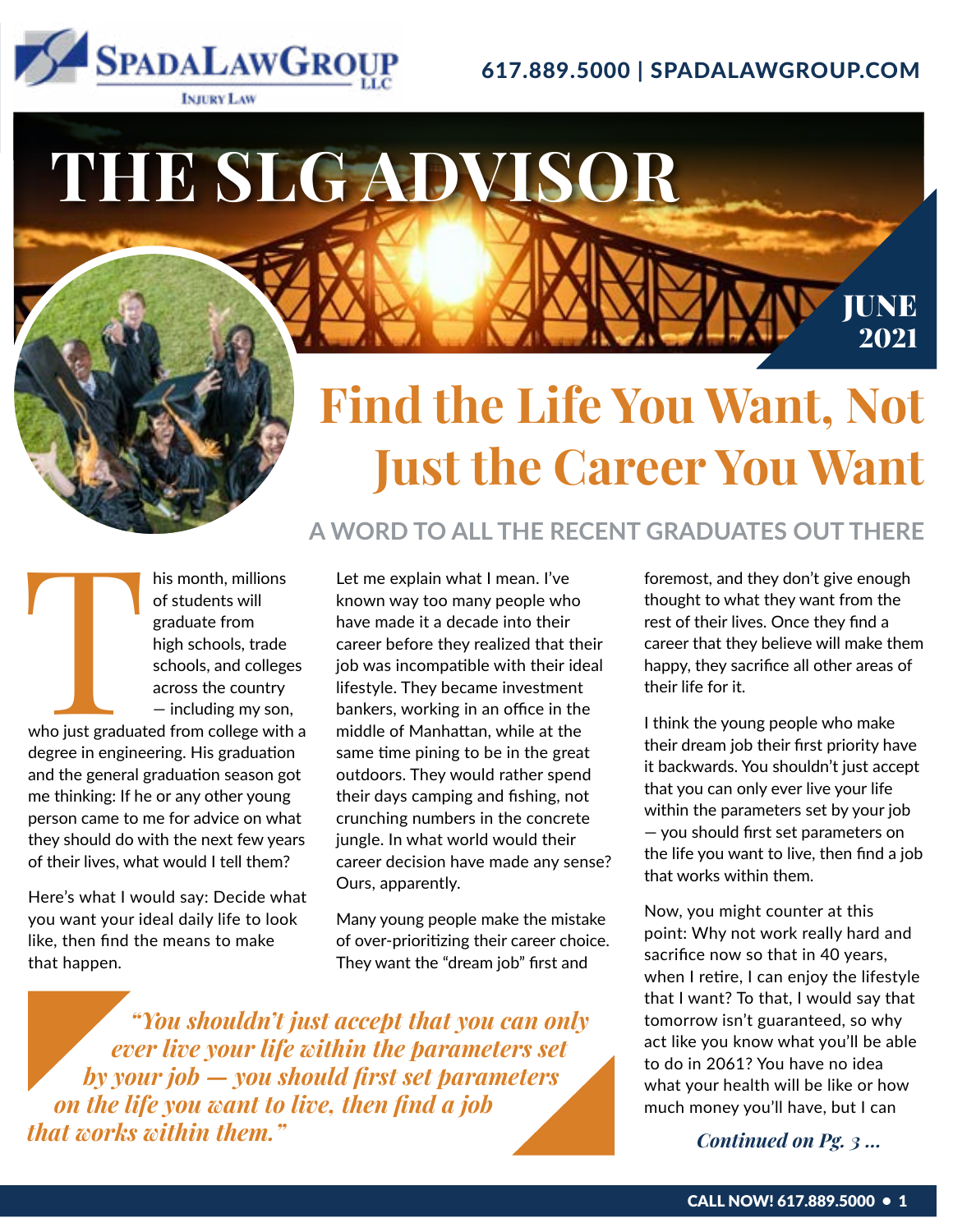

## 617.889.5000 | SPADALAWGROUP.COM

# **THE SLG ADVISOR**

# **Find the Life You Want, Not Just the Career You Want**

**A WORD TO ALL THE RECENT GRADUATES OUT THERE**

his month, millions<br>of students will<br>graduate from<br>high schools, trade<br>schools, and college<br>across the country<br>— including my son<br>who just graduated from college with of students will graduate from high schools, trade schools, and colleges across the country — including my son,

who just graduated from college with a degree in engineering. His graduation and the general graduation season got me thinking: If he or any other young person came to me for advice on what they should do with the next few years of their lives, what would I tell them?

Here's what I would say: Decide what you want your ideal daily life to look like, then find the means to make that happen.

Let me explain what I mean. I've known way too many people who have made it a decade into their career before they realized that their job was incompatible with their ideal lifestyle. They became investment bankers, working in an office in the middle of Manhattan, while at the same time pining to be in the great outdoors. They would rather spend their days camping and fishing, not crunching numbers in the concrete jungle. In what world would their career decision have made any sense? Ours, apparently.

Many young people make the mistake of over-prioritizing their career choice. They want the "dream job" first and

*"You shouldn't just accept that you can only ever live your life within the parameters set by your job — you should first set parameters on the life you want to live, then find a job that works within them.***"** *Continued on Pg. 3 ...* 

foremost, and they don't give enough thought to what they want from the rest of their lives. Once they find a career that they believe will make them happy, they sacrifice all other areas of their life for it.

JUNE 2021

I think the young people who make their dream job their first priority have it backwards. You shouldn't just accept that you can only ever live your life within the parameters set by your job — you should first set parameters on the life you want to live, then find a job that works within them.

Now, you might counter at this point: Why not work really hard and sacrifice now so that in 40 years, when I retire, I can enjoy the lifestyle that I want? To that, I would say that tomorrow isn't guaranteed, so why act like you know what you'll be able to do in 2061? You have no idea what your health will be like or how much money you'll have, but I can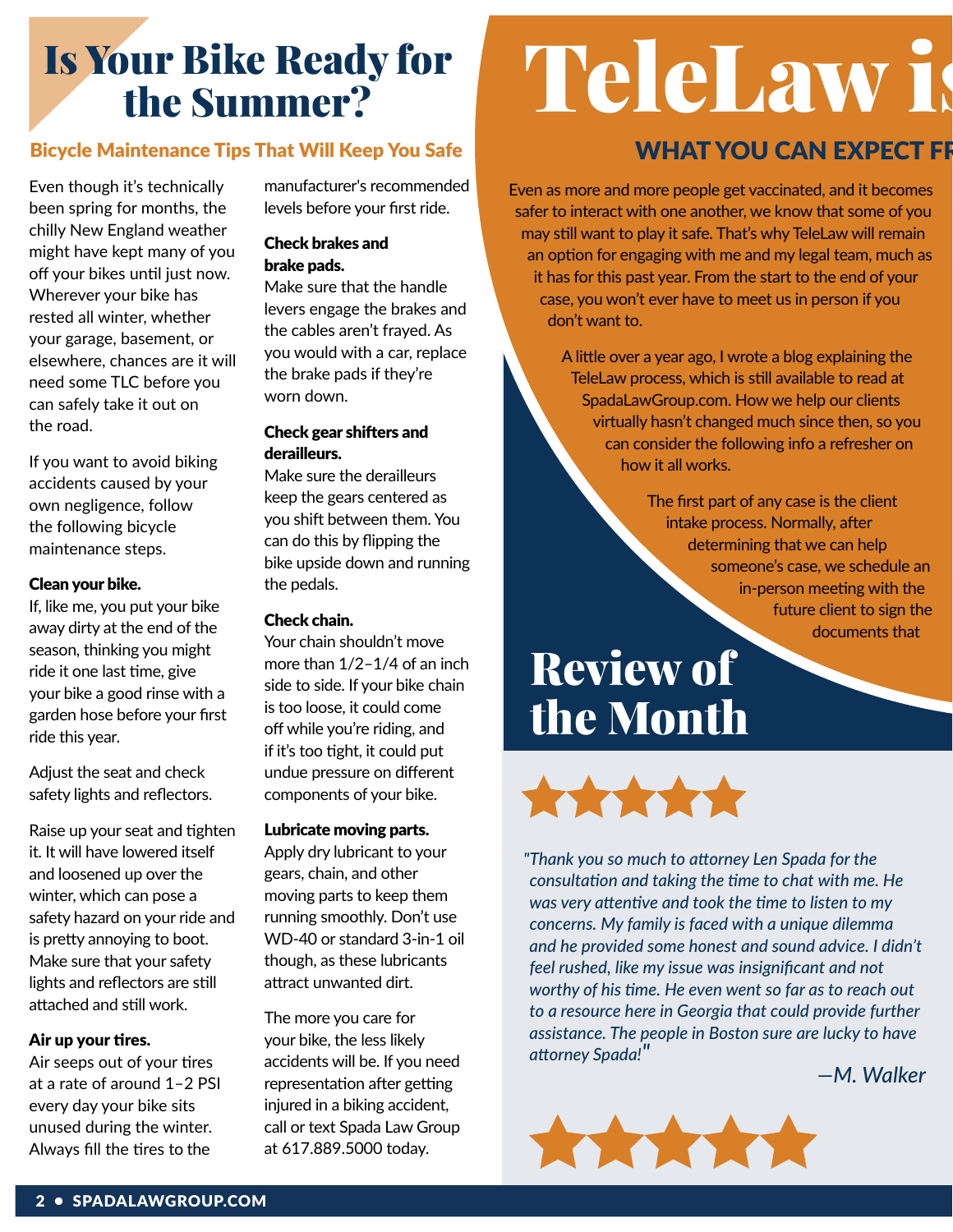## Is Your Bike Ready for the Summer?

## Bicycle Maintenance Tips That Will Keep You Safe

Even though it's technically been spring for months, the chilly New England weather might have kept many of you off your bikes until just now. Wherever your bike has rested all winter, whether your garage, basement, or elsewhere, chances are it will need some TLC before you can safely take it out on the road.

If you want to avoid biking accidents caused by your own negligence, follow the following bicycle maintenance steps.

### Clean your bike.

If, like me, you put your bike away dirty at the end of the season, thinking you might ride it one last time, give your bike a good rinse with a garden hose before your first ride this year.

Adjust the seat and check safety lights and reflectors.

Raise up your seat and tighten it. It will have lowered itself and loosened up over the winter, which can pose a safety hazard on your ride and is pretty annoying to boot. Make sure that your safety lights and reflectors are still attached and still work.

### Air up your tires.

Air seeps out of your tires at a rate of around 1–2 PSI every day your bike sits unused during the winter. Always fill the tires to the

manufacturer's recommended levels before your first ride.

### Check brakes and brake pads.

Make sure that the handle levers engage the brakes and the cables aren't frayed. As you would with a car, replace the brake pads if they're worn down.

## Check gear shifters and derailleurs.

Make sure the derailleurs keep the gears centered as you shift between them. You can do this by flipping the bike upside down and running the pedals.

## Check chain.

Your chain shouldn't move more than 1/2–1/4 of an inch side to side. If your bike chain is too loose, it could come off while you're riding, and if it's too tight, it could put undue pressure on different components of your bike.

### Lubricate moving parts.

Apply dry lubricant to your gears, chain, and other moving parts to keep them running smoothly. Don't use WD-40 or standard 3-in-1 oil though, as these lubricants attract unwanted dirt.

The more you care for your bike, the less likely accidents will be. If you need representation after getting injured in a biking accident, call or text Spada Law Group at 617.889.5000 today.

# TeleLaw is

## WHAT YOU CAN EXPECT FF

Even as more and more people get vaccinated, and it becomes safer to interact with one another, we know that some of you may still want to play it safe. That's why TeleLaw will remain an option for engaging with me and my legal team, much as it has for this past year. From the start to the end of your case, you won't ever have to meet us in person if you don't want to.

> A little over a year ago, I wrote a blog explaining the TeleLaw process, which is still available to read at SpadaLawGroup.com. How we help our clients virtually hasn't changed much since then, so you can consider the following info a refresher on how it all works.

> > The first part of any case is the client intake process. Normally, after determining that we can help someone's case, we schedule an in-person meeting with the future client to sign the documents that

## Review of the Month



*"Thank you so much to attorney Len Spada for the consultation and taking the time to chat with me. He was very attentive and took the time to listen to my concerns. My family is faced with a unique dilemma and he provided some honest and sound advice. I didn't feel rushed, like my issue was insignificant and not worthy of his time. He even went so far as to reach out to a resource here in Georgia that could provide further assistance. The people in Boston sure are lucky to have attorney Spada!" —M. Walker*

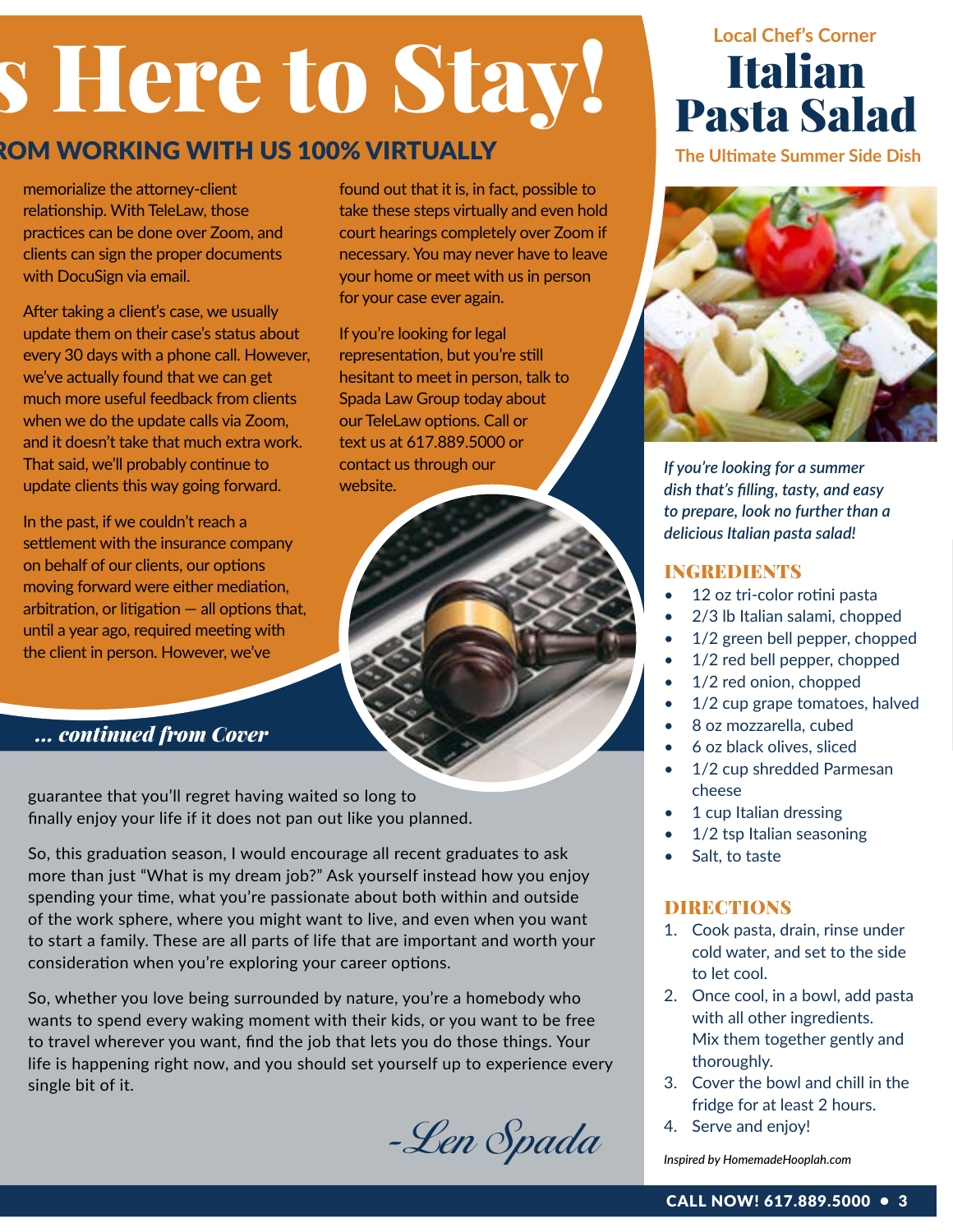# s Here to Stay!

found out that it is, in fact, possible to take these steps virtually and even hold court hearings completely over Zoom if necessary. You may never have to leave your home or meet with us in person

for your case ever again.

If you're looking for legal representation, but you're still hesitant to meet in person, talk to Spada Law Group today about our TeleLaw options. Call or text us at 617.889.5000 or contact us through our

website.

## ROM WORKING WITH US 100% VIRTUALLY

memorialize the attorney-client relationship. With TeleLaw, those practices can be done over Zoom, and clients can sign the proper documents with DocuSign via email.

After taking a client's case, we usually update them on their case's status about every 30 days with a phone call. However, we've actually found that we can get much more useful feedback from clients when we do the update calls via Zoom, and it doesn't take that much extra work. That said, we'll probably continue to update clients this way going forward.

In the past, if we couldn't reach a settlement with the insurance company on behalf of our clients, our options moving forward were either mediation, arbitration, or litigation  $-$  all options that, until a year ago, required meeting with the client in person. However, we've

*... continued from Cover*

guarantee that you'll regret having waited so long to finally enjoy your life if it does not pan out like you planned.

So, this graduation season, I would encourage all recent graduates to ask more than just "What is my dream job?" Ask yourself instead how you enjoy spending your time, what you're passionate about both within and outside of the work sphere, where you might want to live, and even when you want to start a family. These are all parts of life that are important and worth your consideration when you're exploring your career options.

So, whether you love being surrounded by nature, you're a homebody who wants to spend every waking moment with their kids, or you want to be free to travel wherever you want, find the job that lets you do those things. Your life is happening right now, and you should set yourself up to experience every single bit of it.

-Len Spada

## Italian Pasta Salad **Local Chef's Corner**

**The Ultimate Summer Side Dish**



*If you're looking for a summer dish that's filling, tasty, and easy to prepare, look no further than a delicious Italian pasta salad!*

## **INGREDIENTS**

- 12 oz tri-color rotini pasta
- 2/3 lb Italian salami, chopped
- 1/2 green bell pepper, chopped
- 1/2 red bell pepper, chopped
- 1/2 red onion, chopped
- 1/2 cup grape tomatoes, halved
- 8 oz mozzarella, cubed
- 6 oz black olives, sliced
- 1/2 cup shredded Parmesan cheese
- 1 cup Italian dressing
- 1/2 tsp Italian seasoning
- Salt, to taste

## DIRECTIONS

- 1. Cook pasta, drain, rinse under cold water, and set to the side to let cool.
- 2. Once cool, in a bowl, add pasta with all other ingredients. Mix them together gently and thoroughly.
- 3. Cover the bowl and chill in the fridge for at least 2 hours.
- 4. Serve and enjoy!

*Inspired by HomemadeHooplah.com*